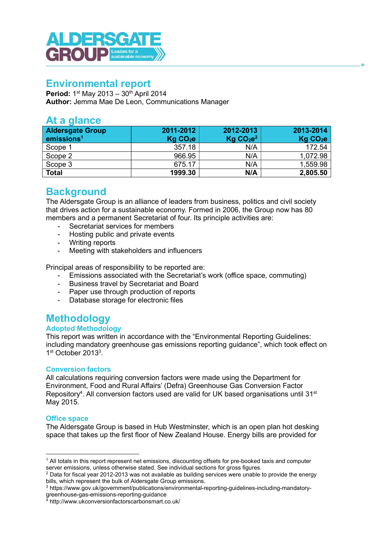

# Environmental report

**Period:** 1<sup>st</sup> May 2013 – 30<sup>th</sup> April 2014 Author: Jemma Mae De Leon, Communications Manager

# At a glance

| <b>Aldersgate Group</b><br>emissions <sup>1</sup> | 2011-2012<br>Kg CO <sub>2</sub> e | 2012-2013<br>Kg CO <sub>2</sub> e <sup>2</sup> | 2013-2014<br>Kg CO <sub>2</sub> e |
|---------------------------------------------------|-----------------------------------|------------------------------------------------|-----------------------------------|
| Scope 1                                           | 357.18                            | N/A                                            | 172.54                            |
| Scope 2                                           | 966.95                            | N/A                                            | 1,072.98                          |
| Scope 3                                           | 675.17                            | N/A                                            | 1,559.98                          |
| Total                                             | 1999.30                           | N/A                                            | 2,805.50                          |

# **Background**

The Aldersgate Group is an alliance of leaders from business, politics and civil society that drives action for a sustainable economy. Formed in 2006, the Group now has 80 members and a permanent Secretariat of four. Its principle activities are:

- Secretariat services for members
- Hosting public and private events
- Writing reports
- Meeting with stakeholders and influencers

Principal areas of responsibility to be reported are:

- Emissions associated with the Secretariat's work (office space, commuting)
- Business travel by Secretariat and Board
- Paper use through production of reports
- Database storage for electronic files

# **Methodology**

# Adopted Methodology

This report was written in accordance with the "Environmental Reporting Guidelines: including mandatory greenhouse gas emissions reporting guidance", which took effect on 1st October 2013<sup>3</sup>.

# Conversion factors

All calculations requiring conversion factors were made using the Department for Environment, Food and Rural Affairs' (Defra) Greenhouse Gas Conversion Factor Repository<sup>4</sup>. All conversion factors used are valid for UK based organisations until 31<sup>st</sup> May 2015.

# Office space

The Aldersgate Group is based in Hub Westminster, which is an open plan hot desking space that takes up the first floor of New Zealand House. Energy bills are provided for

<sup>1</sup> All totals in this report represent net emissions, discounting offsets for pre-booked taxis and computer server emissions, unless otherwise stated. See individual sections for gross figures.

 $^2$  Data for fiscal year 2012-2013 was not available as building services were unable to provide the energy bills, which represent the bulk of Aldersgate Group emissions.

<sup>3</sup> https://www.gov.uk/government/publications/environmental-reporting-guidelines-including-mandatorygreenhouse-gas-emissions-reporting-guidance 4 http://www.ukconversionfactorscarbonsmart.co.uk/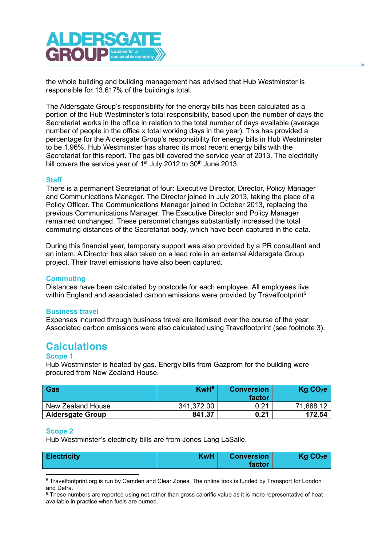

the whole building and building management has advised that Hub Westminster is responsible for 13.617% of the building's total.

The Aldersgate Group's responsibility for the energy bills has been calculated as a portion of the Hub Westminster's total responsibility, based upon the number of days the Secretariat works in the office in relation to the total number of days available (average number of people in the office x total working days in the year). This has provided a percentage for the Aldersgate Group's responsibility for energy bills in Hub Westminster to be 1.96%. Hub Westminster has shared its most recent energy bills with the Secretariat for this report. The gas bill covered the service year of 2013. The electricity bill covers the service year of  $1<sup>st</sup>$  July 2012 to 30<sup>th</sup> June 2013.

#### **Staff**

There is a permanent Secretariat of four: Executive Director, Director, Policy Manager and Communications Manager. The Director joined in July 2013, taking the place of a Policy Officer. The Communications Manager joined in October 2013, replacing the previous Communications Manager. The Executive Director and Policy Manager remained unchanged. These personnel changes substantially increased the total commuting distances of the Secretariat body, which have been captured in the data.

During this financial year, temporary support was also provided by a PR consultant and an intern. A Director has also taken on a lead role in an external Aldersgate Group project. Their travel emissions have also been captured.

#### **Commuting**

Distances have been calculated by postcode for each employee. All employees live within England and associated carbon emissions were provided by Travelfootprint<sup>5</sup>.

#### Business travel

Expenses incurred through business travel are itemised over the course of the year. Associated carbon emissions were also calculated using Travelfootprint (see footnote 3).

# **Calculations**

#### Scope 1

Hub Westminster is heated by gas. Energy bills from Gazprom for the building were procured from New Zealand House.

| Gas                     | KwH <sup>6</sup> | <b>Conversion</b><br>factor | Kg CO <sub>2</sub> e |
|-------------------------|------------------|-----------------------------|----------------------|
| New Zealand House       | 341,372.00       | 0.21                        | 71.688.12            |
| <b>Aldersgate Group</b> | 841.37           | 0.21                        | 172.54               |

#### Scope 2

Hub Westminster's electricity bills are from Jones Lang LaSalle.

| KwH  <br><b>Electricity</b> | <b>Conversion</b><br>factor | Kg CO <sub>2</sub> e |
|-----------------------------|-----------------------------|----------------------|
|-----------------------------|-----------------------------|----------------------|

<sup>&</sup>lt;sup>5</sup> Travelfootprint.org is run by Camden and Clear Zones. The online took is funded by Transport for London and Defra.

 $^6$  These numbers are reported using net rather than gross calorific value as it is more representative of heat available in practice when fuels are burned.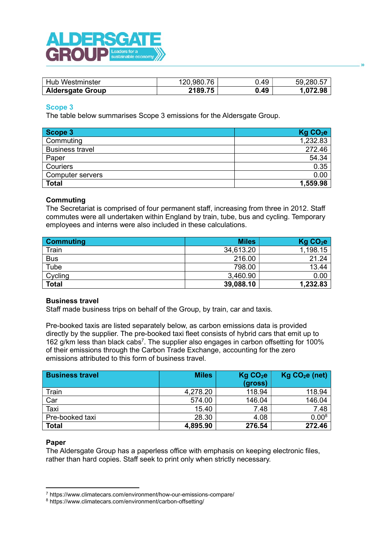

| Hub Westminster         | 120.980.76 | J.49 | 59.280.57 |
|-------------------------|------------|------|-----------|
| <b>Aldersgate Group</b> | 2189.75    | 0.49 | 1,072.98  |

### Scope 3

The table below summarises Scope 3 emissions for the Aldersgate Group.

| Scope 3                 | Kg CO <sub>2</sub> e |
|-------------------------|----------------------|
| Commuting               | 1,232.83             |
| <b>Business travel</b>  | 272.46               |
| Paper                   | 54.34                |
| Couriers                | 0.35                 |
| <b>Computer servers</b> | 0.00                 |
| <b>Total</b>            | 1,559.98             |

### **Commuting**

The Secretariat is comprised of four permanent staff, increasing from three in 2012. Staff commutes were all undertaken within England by train, tube, bus and cycling. Temporary employees and interns were also included in these calculations.

| <b>Commuting</b> | <b>Miles</b> | Kg CO <sub>2</sub> e |
|------------------|--------------|----------------------|
| Train            | 34,613.20    | 1,198.15             |
| <b>Bus</b>       | 216.00       | 21.24                |
| Tube             | 798.00       | 13.44                |
| Cycling          | 3,460.90     | 0.00                 |
| <b>Total</b>     | 39,088.10    | 1,232.83             |

#### Business travel

Staff made business trips on behalf of the Group, by train, car and taxis.

Pre-booked taxis are listed separately below, as carbon emissions data is provided directly by the supplier. The pre-booked taxi fleet consists of hybrid cars that emit up to 162 g/km less than black cabs<sup>7</sup>. The supplier also engages in carbon offsetting for 100% of their emissions through the Carbon Trade Exchange, accounting for the zero emissions attributed to this form of business travel.

| <b>Business travel</b> | <b>Miles</b> | Kg CO <sub>2</sub> e | $Kg CO2e$ (net) |
|------------------------|--------------|----------------------|-----------------|
|                        |              | (gross)              |                 |
| Train                  | 4,278.20     | 118.94               | 118.94          |
| Car                    | 574.00       | 146.04               | 146.04          |
| Taxi                   | 15.40        | 7.48                 | 7.48            |
| Pre-booked taxi        | 28.30        | 4.08                 | $0.00^{8}$      |
| <b>Total</b>           | 4,895.90     | 276.54               | 272.46          |

#### Paper

The Aldersgate Group has a paperless office with emphasis on keeping electronic files, rather than hard copies. Staff seek to print only when strictly necessary.

<sup>7</sup> https://www.climatecars.com/environment/how-our-emissions-compare/

<sup>8</sup> https://www.climatecars.com/environment/carbon-offsetting/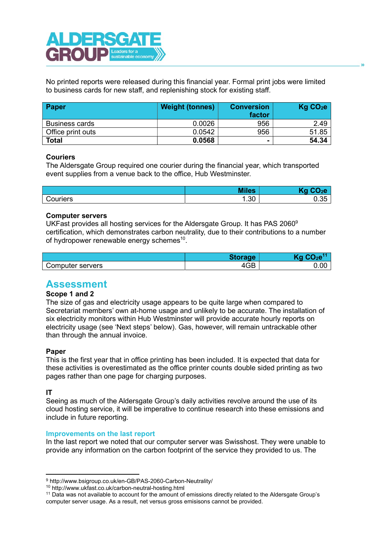

No printed reports were released during this financial year. Formal print jobs were limited to business cards for new staff, and replenishing stock for existing staff.

| <b>Paper</b>          | <b>Weight (tonnes)</b> | <b>Conversion</b><br>factor | Kg CO <sub>2</sub> e |
|-----------------------|------------------------|-----------------------------|----------------------|
| <b>Business cards</b> | 0.0026                 | 956                         | 2.49                 |
| Office print outs     | 0.0542                 | 956                         | 51.85                |
| <b>Total</b>          | 0.0568                 | $\blacksquare$              | 54.34                |

#### **Couriers**

The Aldersgate Group required one courier during the financial year, which transported event supplies from a venue back to the office, Hub Westminster.

|          | <b>Miles</b>  | レーヘヘ                         |
|----------|---------------|------------------------------|
| Couriers | $\sim$<br>…ວ∪ | $\sim$ $\sim$<br>- -<br>∪.∪∪ |

#### Computer servers

UKFast provides all hosting services for the Aldersgate Group. It has PAS 2060<sup>9</sup> certification, which demonstrates carbon neutrality, due to their contributions to a number of hydropower renewable energy schemes<sup>10</sup>.

|                  | <b>Storage</b> |      |
|------------------|----------------|------|
| Computer servers | 4GB            | 0.00 |

# Assessment

# Scope 1 and 2

The size of gas and electricity usage appears to be quite large when compared to Secretariat members' own at-home usage and unlikely to be accurate. The installation of six electricity monitors within Hub Westminster will provide accurate hourly reports on electricity usage (see 'Next steps' below). Gas, however, will remain untrackable other than through the annual invoice.

# Paper

This is the first year that in office printing has been included. It is expected that data for these activities is overestimated as the office printer counts double sided printing as two pages rather than one page for charging purposes.

#### IT

Seeing as much of the Aldersgate Group's daily activities revolve around the use of its cloud hosting service, it will be imperative to continue research into these emissions and include in future reporting.

#### Improvements on the last report

In the last report we noted that our computer server was Swisshost. They were unable to provide any information on the carbon footprint of the service they provided to us. The

<sup>9</sup> http://www.bsigroup.co.uk/en-GB/PAS-2060-Carbon-Neutrality/

<sup>10</sup> http://www.ukfast.co.uk/carbon-neutral-hosting.html

<sup>&</sup>lt;sup>11</sup> Data was not available to account for the amount of emissions directly related to the Aldersgate Group's computer server usage. As a result, net versus gross emisisons cannot be provided.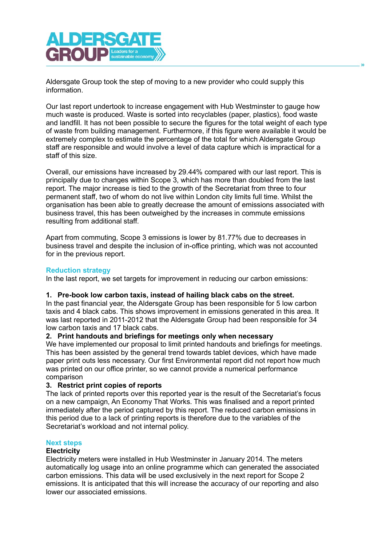

Aldersgate Group took the step of moving to a new provider who could supply this information.

Our last report undertook to increase engagement with Hub Westminster to gauge how much waste is produced. Waste is sorted into recyclables (paper, plastics), food waste and landfill. It has not been possible to secure the figures for the total weight of each type of waste from building management. Furthermore, if this figure were available it would be extremely complex to estimate the percentage of the total for which Aldersgate Group staff are responsible and would involve a level of data capture which is impractical for a staff of this size.

Overall, our emissions have increased by 29.44% compared with our last report. This is principally due to changes within Scope 3, which has more than doubled from the last report. The major increase is tied to the growth of the Secretariat from three to four permanent staff, two of whom do not live within London city limits full time. Whilst the organisation has been able to greatly decrease the amount of emissions associated with business travel, this has been outweighed by the increases in commute emissions resulting from additional staff.

Apart from commuting, Scope 3 emissions is lower by 81.77% due to decreases in business travel and despite the inclusion of in-office printing, which was not accounted for in the previous report.

#### Reduction strategy

In the last report, we set targets for improvement in reducing our carbon emissions:

#### 1. Pre-book low carbon taxis, instead of hailing black cabs on the street.

In the past financial year, the Aldersgate Group has been responsible for 5 low carbon taxis and 4 black cabs. This shows improvement in emissions generated in this area. It was last reported in 2011-2012 that the Aldersgate Group had been responsible for 34 low carbon taxis and 17 black cabs.

# 2. Print handouts and briefings for meetings only when necessary

We have implemented our proposal to limit printed handouts and briefings for meetings. This has been assisted by the general trend towards tablet devices, which have made paper print outs less necessary. Our first Environmental report did not report how much was printed on our office printer, so we cannot provide a numerical performance comparison

#### 3. Restrict print copies of reports

The lack of printed reports over this reported year is the result of the Secretariat's focus on a new campaign, An Economy That Works. This was finalised and a report printed immediately after the period captured by this report. The reduced carbon emissions in this period due to a lack of printing reports is therefore due to the variables of the Secretariat's workload and not internal policy.

#### Next steps

#### **Electricity**

Electricity meters were installed in Hub Westminster in January 2014. The meters automatically log usage into an online programme which can generated the associated carbon emissions. This data will be used exclusively in the next report for Scope 2 emissions. It is anticipated that this will increase the accuracy of our reporting and also lower our associated emissions.